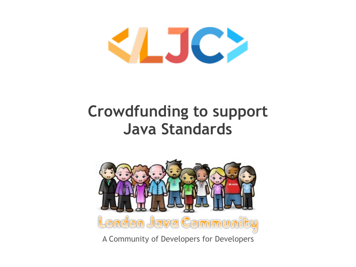

# **Crowdfunding to support Java Standards**



A Community of Developers for Developers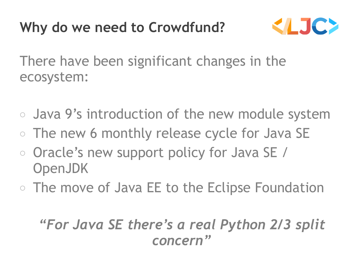# **Why do we need to Crowdfund?**



There have been significant changes in the ecosystem:

- Java 9's introduction of the new module system
- The new 6 monthly release cycle for Java SE
- Oracle's new support policy for Java SE / OpenJDK
- The move of Java EE to the Eclipse Foundation

#### *"For Java SE there's a real Python 2/3 split concern"*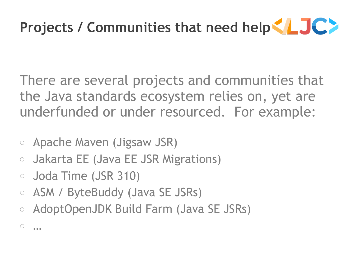

There are several projects and communities that the Java standards ecosystem relies on, yet are underfunded or under resourced. For example:

- Apache Maven (Jigsaw JSR)
- Jakarta EE (Java EE JSR Migrations)
- Joda Time (JSR 310)

○ …

- ASM / ByteBuddy (Java SE JSRs)
- AdoptOpenJDK Build Farm (Java SE JSRs)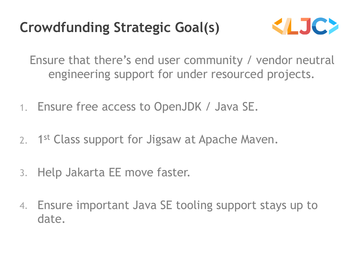### **Crowdfunding Strategic Goal(s)**



Ensure that there's end user community / vendor neutral engineering support for under resourced projects.

- 1. Ensure free access to OpenJDK / Java SE.
- 2. 1<sup>st</sup> Class support for Jigsaw at Apache Maven.
- 3. Help Jakarta EE move faster.
- 4. Ensure important Java SE tooling support stays up to date.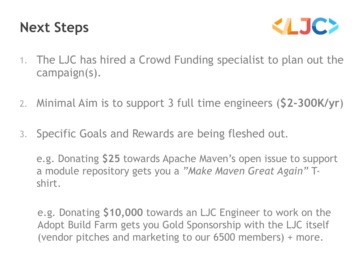#### **Next Steps**



- 1. The LJC has hired a Crowd Funding specialist to plan out the campaign(s).
- 2. Minimal Aim is to support 3 full time engineers (**\$2-300K/yr**)
- 3. Specific Goals and Rewards are being fleshed out.

e.g. Donating **\$25** towards Apache Maven's open issue to support a module repository gets you a *"Make Maven Great Again"* Tshirt.

 e.g. Donating **\$10,000** towards an LJC Engineer to work on the Adopt Build Farm gets you Gold Sponsorship with the LJC itself (vendor pitches and marketing to our 6500 members) + more.